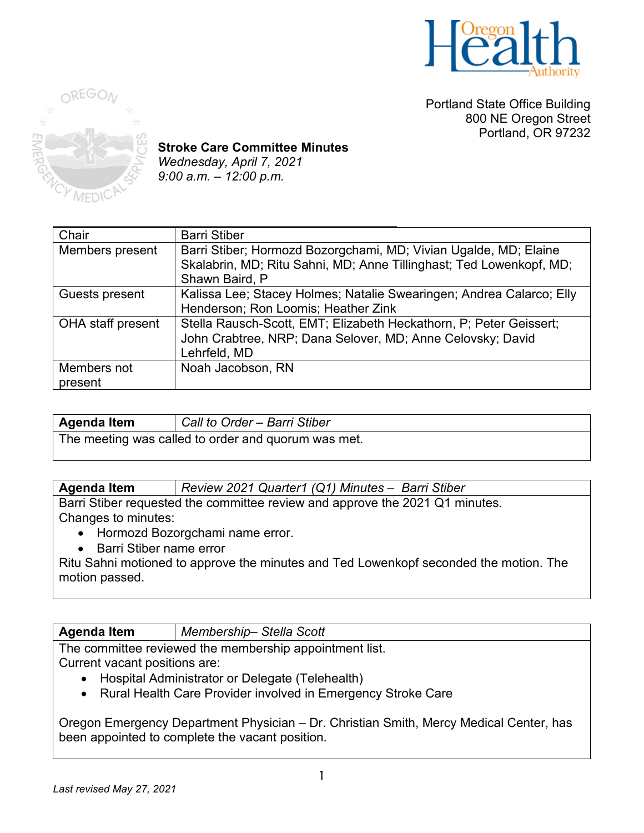

Portland State Office Building 800 NE Oregon Street Portland, OR 97232



**Stroke Care Committee Minutes** *Wednesday, April 7, 2021 9:00 a.m. – 12:00 p.m.* 

| Chair                    | <b>Barri Stiber</b>                                                  |
|--------------------------|----------------------------------------------------------------------|
| Members present          | Barri Stiber; Hormozd Bozorgchami, MD; Vivian Ugalde, MD; Elaine     |
|                          | Skalabrin, MD; Ritu Sahni, MD; Anne Tillinghast; Ted Lowenkopf, MD;  |
|                          | Shawn Baird, P                                                       |
| Guests present           | Kalissa Lee; Stacey Holmes; Natalie Swearingen; Andrea Calarco; Elly |
|                          | Henderson; Ron Loomis; Heather Zink                                  |
| <b>OHA</b> staff present | Stella Rausch-Scott, EMT; Elizabeth Heckathorn, P; Peter Geissert;   |
|                          | John Crabtree, NRP; Dana Selover, MD; Anne Celovsky; David           |
|                          | Lehrfeld, MD                                                         |
| Members not              | Noah Jacobson, RN                                                    |
| present                  |                                                                      |

| Agenda Item                                         | Call to Order - Barri Stiber |
|-----------------------------------------------------|------------------------------|
| The meeting was called to order and quorum was met. |                              |

**Agenda Item** *Review 2021 Quarter1 (Q1) Minutes – Barri Stiber*

Barri Stiber requested the committee review and approve the 2021 Q1 minutes. Changes to minutes:

- Hormozd Bozorgchami name error.
- Barri Stiber name error

Ritu Sahni motioned to approve the minutes and Ted Lowenkopf seconded the motion. The motion passed.

**Agenda Item** *Membership– Stella Scott*

The committee reviewed the membership appointment list. Current vacant positions are:

- Hospital Administrator or Delegate (Telehealth)
- Rural Health Care Provider involved in Emergency Stroke Care

Oregon Emergency Department Physician – Dr. Christian Smith, Mercy Medical Center, has been appointed to complete the vacant position.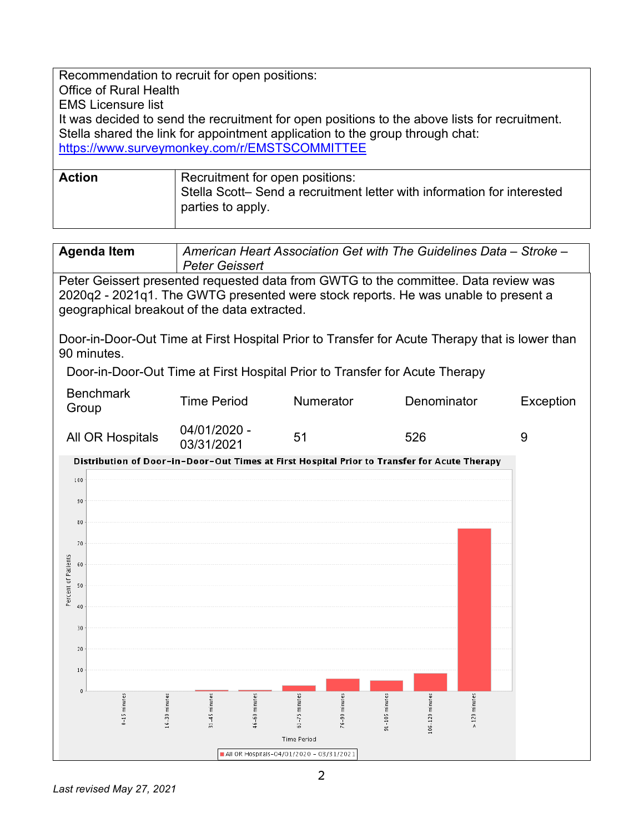Recommendation to recruit for open positions: Office of Rural Health EMS Licensure list It was decided to send the recruitment for open positions to the above lists for recruitment. Stella shared the link for appointment application to the group through chat: <https://www.surveymonkey.com/r/EMSTSCOMMITTEE>

| <b>Action</b> | Recruitment for open positions:<br>Stella Scott- Send a recruitment letter with information for interested |
|---------------|------------------------------------------------------------------------------------------------------------|
|               | parties to apply.                                                                                          |

| <b>Agenda Item</b> | American Heart Association Get with The Guidelines Data – Stroke – |
|--------------------|--------------------------------------------------------------------|
|                    | <b>Peter Geissert</b>                                              |

Peter Geissert presented requested data from GWTG to the committee. Data review was 2020q2 - 2021q1. The GWTG presented were stock reports. He was unable to present a geographical breakout of the data extracted.

Door-in-Door-Out Time at First Hospital Prior to Transfer for Acute Therapy that is lower than 90 minutes.

Door-in-Door-Out Time at First Hospital Prior to Transfer for Acute Therapy

| <b>Benchmark</b><br>Group | Time Period                | <b>Numerator</b> | Denominator | Exception |
|---------------------------|----------------------------|------------------|-------------|-----------|
| All OR Hospitals          | 04/01/2020 -<br>03/31/2021 | 51               | 526         |           |

Distribution of Door-in-Door-Out Times at First Hospital Prior to Transfer for Acute Therapy

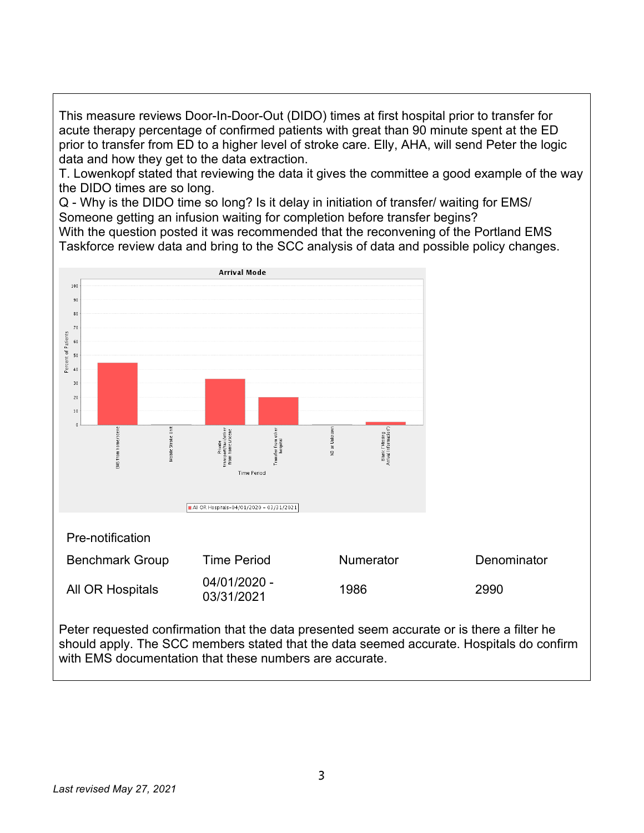This measure reviews Door-In-Door-Out (DIDO) times at first hospital prior to transfer for acute therapy percentage of confirmed patients with great than 90 minute spent at the ED prior to transfer from ED to a higher level of stroke care. Elly, AHA, will send Peter the logic data and how they get to the data extraction.

T. Lowenkopf stated that reviewing the data it gives the committee a good example of the way the DIDO times are so long.

Q - Why is the DIDO time so long? Is it delay in initiation of transfer/ waiting for EMS/ Someone getting an infusion waiting for completion before transfer begins? With the question posted it was recommended that the reconvening of the Portland EMS Taskforce review data and bring to the SCC analysis of data and possible policy changes.



Peter requested confirmation that the data presented seem accurate or is there a filter he should apply. The SCC members stated that the data seemed accurate. Hospitals do confirm with FMS documentation that these numbers are accurate.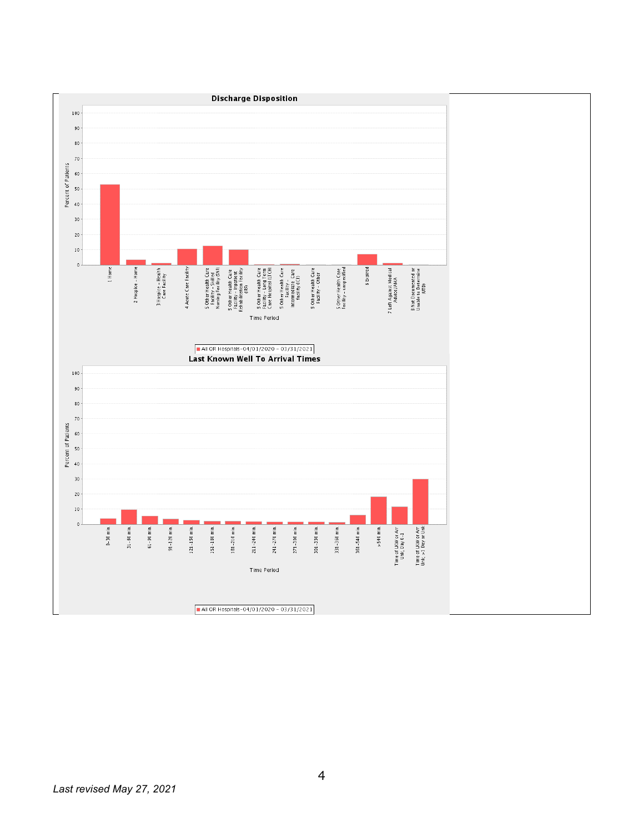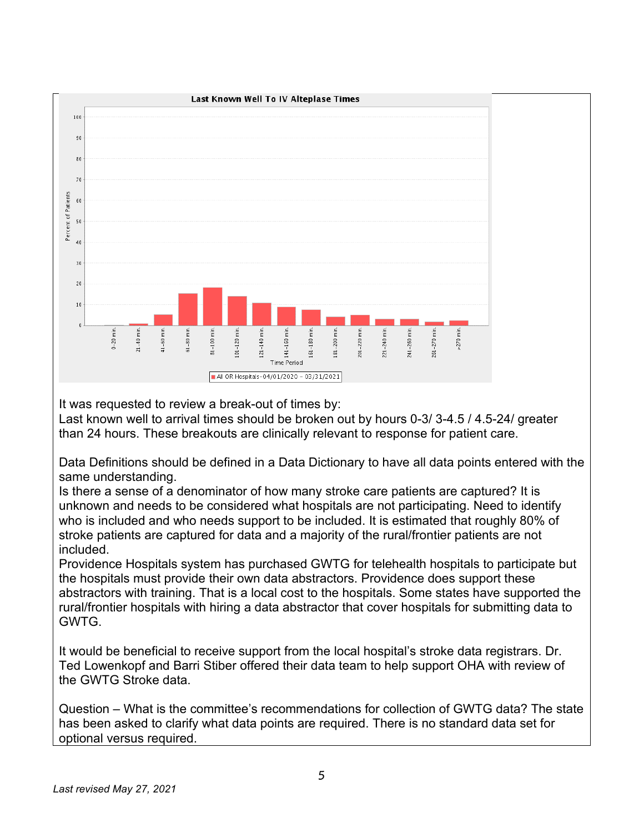

It was requested to review a break-out of times by:

Last known well to arrival times should be broken out by hours 0-3/ 3-4.5 / 4.5-24/ greater than 24 hours. These breakouts are clinically relevant to response for patient care.

Data Definitions should be defined in a Data Dictionary to have all data points entered with the same understanding.

Is there a sense of a denominator of how many stroke care patients are captured? It is unknown and needs to be considered what hospitals are not participating. Need to identify who is included and who needs support to be included. It is estimated that roughly 80% of stroke patients are captured for data and a majority of the rural/frontier patients are not included.

Providence Hospitals system has purchased GWTG for telehealth hospitals to participate but the hospitals must provide their own data abstractors. Providence does support these abstractors with training. That is a local cost to the hospitals. Some states have supported the rural/frontier hospitals with hiring a data abstractor that cover hospitals for submitting data to GWTG.

It would be beneficial to receive support from the local hospital's stroke data registrars. Dr. Ted Lowenkopf and Barri Stiber offered their data team to help support OHA with review of the GWTG Stroke data.

Question – What is the committee's recommendations for collection of GWTG data? The state has been asked to clarify what data points are required. There is no standard data set for optional versus required.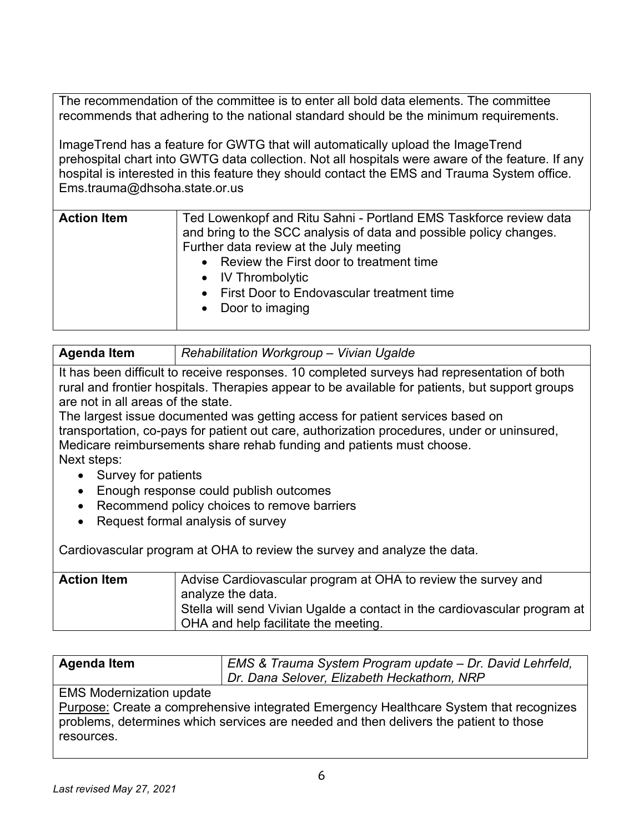The recommendation of the committee is to enter all bold data elements. The committee recommends that adhering to the national standard should be the minimum requirements.

ImageTrend has a feature for GWTG that will automatically upload the ImageTrend prehospital chart into GWTG data collection. Not all hospitals were aware of the feature. If any hospital is interested in this feature they should contact the EMS and Trauma System office. Ems.trauma@dhsoha.state.or.us

| <b>Action Item</b><br>Ted Lowenkopf and Ritu Sahni - Portland EMS Taskforce review data<br>and bring to the SCC analysis of data and possible policy changes.<br>Further data review at the July meeting<br>• Review the First door to treatment time<br>• IV Thrombolytic<br>First Door to Endovascular treatment time<br>$\bullet$<br>• Door to imaging |  |
|-----------------------------------------------------------------------------------------------------------------------------------------------------------------------------------------------------------------------------------------------------------------------------------------------------------------------------------------------------------|--|
|-----------------------------------------------------------------------------------------------------------------------------------------------------------------------------------------------------------------------------------------------------------------------------------------------------------------------------------------------------------|--|

| <b>Agenda Item</b> | Rehabilitation Workgroup - Vivian Ugalde |
|--------------------|------------------------------------------|
|                    |                                          |

It has been difficult to receive responses. 10 completed surveys had representation of both rural and frontier hospitals. Therapies appear to be available for patients, but support groups are not in all areas of the state.

The largest issue documented was getting access for patient services based on transportation, co-pays for patient out care, authorization procedures, under or uninsured, Medicare reimbursements share rehab funding and patients must choose. Next steps:

- Survey for patients
- Enough response could publish outcomes
- Recommend policy choices to remove barriers
- Request formal analysis of survey

Cardiovascular program at OHA to review the survey and analyze the data.

| <b>Action Item</b> | Advise Cardiovascular program at OHA to review the survey and               |
|--------------------|-----------------------------------------------------------------------------|
|                    | analyze the data.                                                           |
|                    | Stella will send Vivian Ugalde a contact in the cardiovascular program at l |
|                    | OHA and help facilitate the meeting.                                        |
|                    |                                                                             |

| Agenda Item | EMS & Trauma System Program update - Dr. David Lehrfeld, |
|-------------|----------------------------------------------------------|
|             | Dr. Dana Selover, Elizabeth Heckathorn, NRP              |

## EMS Modernization update

Purpose: Create a comprehensive integrated Emergency Healthcare System that recognizes problems, determines which services are needed and then delivers the patient to those resources.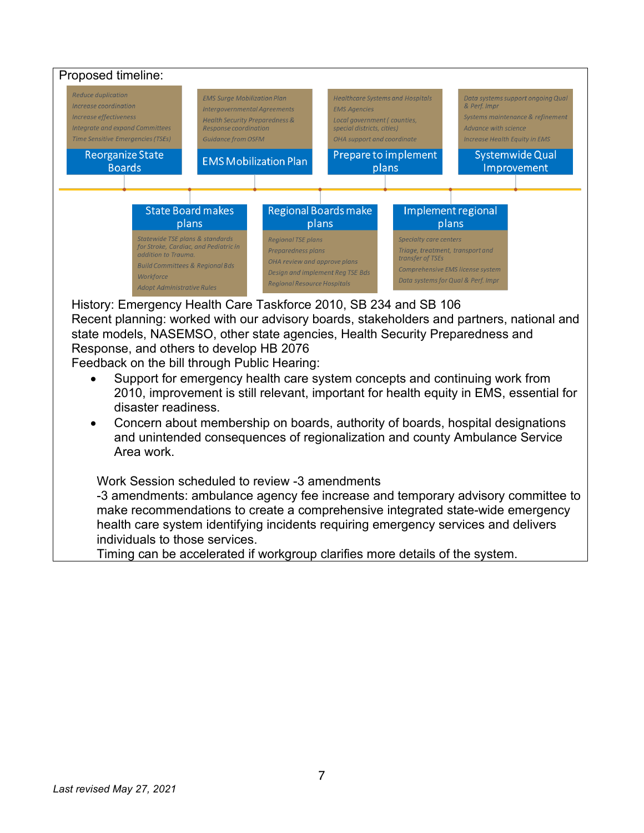

History: Emergency Health Care Taskforce 2010, SB 234 and SB 106

Recent planning: worked with our advisory boards, stakeholders and partners, national and state models, NASEMSO, other state agencies, Health Security Preparedness and Response, and others to develop HB 2076

Feedback on the bill through Public Hearing:

- Support for emergency health care system concepts and continuing work from 2010, improvement is still relevant, important for health equity in EMS, essential for disaster readiness.
- Concern about membership on boards, authority of boards, hospital designations and unintended consequences of regionalization and county Ambulance Service Area work.

Work Session scheduled to review -3 amendments

-3 amendments: ambulance agency fee increase and temporary advisory committee to make recommendations to create a comprehensive integrated state-wide emergency health care system identifying incidents requiring emergency services and delivers individuals to those services.

Timing can be accelerated if workgroup clarifies more details of the system.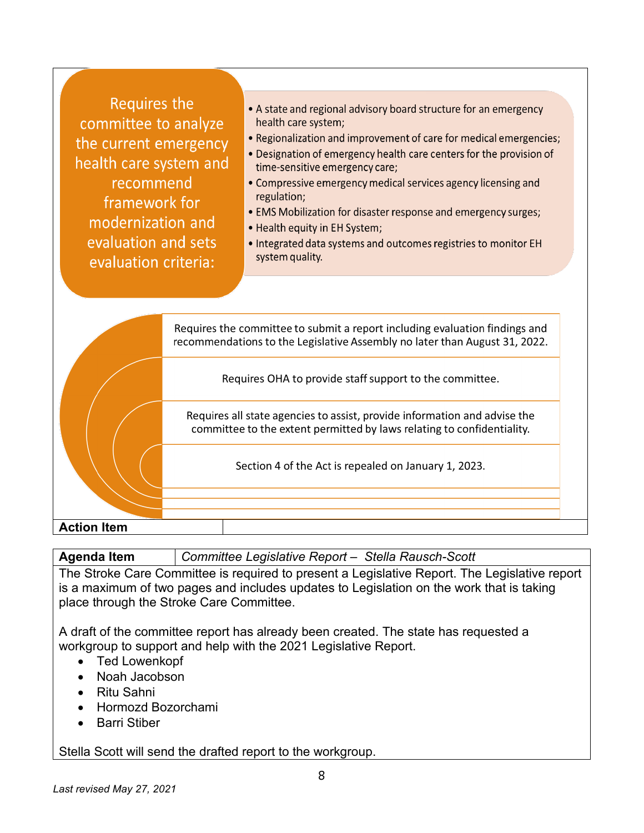**Requires the** committee to analyze the current emergency health care system and recommend framework for modernization and evaluation and sets evaluation criteria:

- A state and regional advisory board structure for an emergency health care system;
- Regionalization and improvement of care for medical emergencies;
- Designation of emergency health care centers for the provision of time-sensitive emergency care;
- Compressive emergency medical services agency licensing and regulation;
- EMS Mobilization for disaster response and emergency surges;
- Health equity in EH System;
- . Integrated data systems and outcomes registries to monitor EH system quality.



**Agenda Item** *Committee Legislative Report – Stella Rausch-Scott* 

The Stroke Care Committee is required to present a Legislative Report. The Legislative report is a maximum of two pages and includes updates to Legislation on the work that is taking place through the Stroke Care Committee.

A draft of the committee report has already been created. The state has requested a workgroup to support and help with the 2021 Legislative Report.

- Ted Lowenkopf
- Noah Jacobson
- Ritu Sahni
- Hormozd Bozorchami
- Barri Stiber

Stella Scott will send the drafted report to the workgroup.